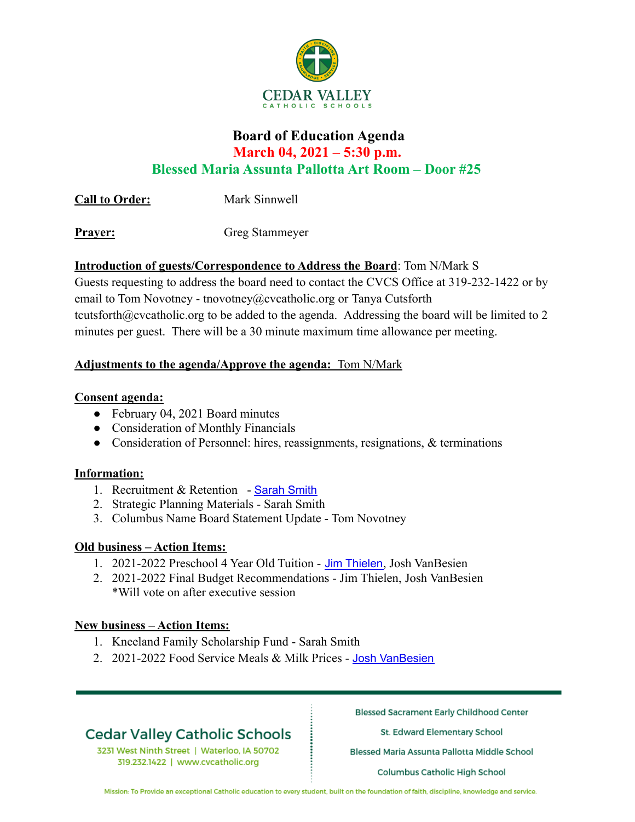

### **Board of Education Agenda March 04, 2021 – 5:30 p.m. Blessed Maria Assunta Pallotta Art Room – Door #25**

**Call to Order:** Mark Sinnwell

**Prayer:** Greg Stammeyer

#### **Introduction of guests/Correspondence to Address the Board**: Tom N/Mark S

Guests requesting to address the board need to contact the CVCS Office at 319-232-1422 or by email to Tom Novotney - tnovotney@cvcatholic.org or Tanya Cutsforth tcutsforth@cvcatholic.org to be added to the agenda. Addressing the board will be limited to 2 minutes per guest. There will be a 30 minute maximum time allowance per meeting.

#### **Adjustments to the agenda/Approve the agenda:** Tom N/Mark

#### **Consent agenda:**

- February 04, 2021 Board minutes
- Consideration of Monthly Financials
- Consideration of Personnel: hires, reassignments, resignations, & terminations

#### **Information:**

- 1. Recruitment & Retention Sarah Smith
- 2. Strategic Planning Materials Sarah Smith
- 3. Columbus Name Board Statement Update Tom Novotney

#### **Old business – Action Items:**

- 1. 2021-2022 Preschool 4 Year Old Tuition Jim Thielen, Josh VanBesien
- 2. 2021-2022 Final Budget Recommendations Jim Thielen, Josh VanBesien \*Will vote on after executive session

#### **New business – Action Items:**

- 1. Kneeland Family Scholarship Fund Sarah Smith
- 2. 2021-2022 Food Service Meals & Milk Prices Josh VanBesien

# **Cedar Valley Catholic Schools**

3231 West Ninth Street | Waterloo, IA 50702 319.232.1422 | www.cvcatholic.org

**Blessed Sacrament Early Childhood Center** 

St. Edward Elementary School

Blessed Maria Assunta Pallotta Middle School

**Columbus Catholic High School** 

Mission: To Provide an exceptional Catholic education to every student, built on the foundation of faith, discipline, knowledge and service.